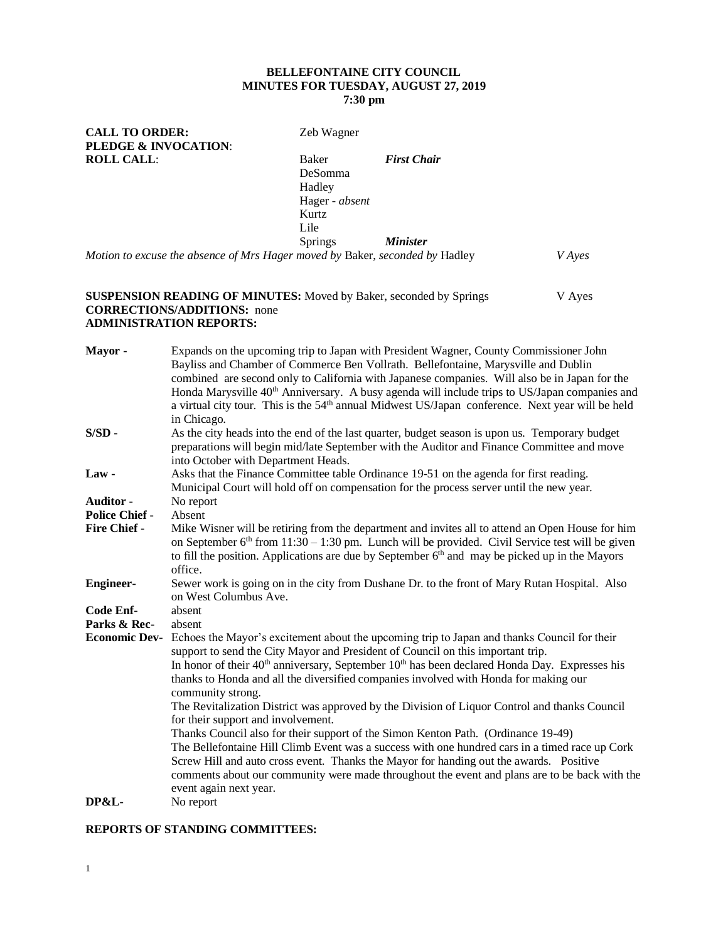## **BELLEFONTAINE CITY COUNCIL MINUTES FOR TUESDAY, AUGUST 27, 2019 7:30 pm**

CALL TO ORDER: Zeb Wagner **PLEDGE & INVOCATION**: **ROLL CALL:** Baker *First Chair* DeSomma Hadley Hager - *absent* Kurtz Lile Springs *Minister Motion to excuse the absence of Mrs Hager moved by* Baker, *seconded by* Hadley *V Ayes*

### **SUSPENSION READING OF MINUTES:** Moved by Baker, seconded by Springs V Ayes **CORRECTIONS/ADDITIONS:** none **ADMINISTRATION REPORTS:**

| Mayor -               | Expands on the upcoming trip to Japan with President Wagner, County Commissioner John<br>Bayliss and Chamber of Commerce Ben Vollrath. Bellefontaine, Marysville and Dublin                                   |  |  |
|-----------------------|---------------------------------------------------------------------------------------------------------------------------------------------------------------------------------------------------------------|--|--|
|                       | combined are second only to California with Japanese companies. Will also be in Japan for the                                                                                                                 |  |  |
|                       | Honda Marysville 40 <sup>th</sup> Anniversary. A busy agenda will include trips to US/Japan companies and                                                                                                     |  |  |
|                       | a virtual city tour. This is the 54 <sup>th</sup> annual Midwest US/Japan conference. Next year will be held                                                                                                  |  |  |
|                       | in Chicago.                                                                                                                                                                                                   |  |  |
| $S/SD -$              | As the city heads into the end of the last quarter, budget season is upon us. Temporary budget<br>preparations will begin mid/late September with the Auditor and Finance Committee and move                  |  |  |
|                       | into October with Department Heads.                                                                                                                                                                           |  |  |
| Law-                  | Asks that the Finance Committee table Ordinance 19-51 on the agenda for first reading.                                                                                                                        |  |  |
|                       | Municipal Court will hold off on compensation for the process server until the new year.                                                                                                                      |  |  |
| <b>Auditor -</b>      | No report                                                                                                                                                                                                     |  |  |
| <b>Police Chief -</b> | Absent                                                                                                                                                                                                        |  |  |
| <b>Fire Chief -</b>   | Mike Wisner will be retiring from the department and invites all to attend an Open House for him                                                                                                              |  |  |
|                       | on September $6th$ from 11:30 – 1:30 pm. Lunch will be provided. Civil Service test will be given                                                                                                             |  |  |
|                       | to fill the position. Applications are due by September $6th$ and may be picked up in the Mayors                                                                                                              |  |  |
|                       | office.                                                                                                                                                                                                       |  |  |
| <b>Engineer-</b>      | Sewer work is going on in the city from Dushane Dr. to the front of Mary Rutan Hospital. Also<br>on West Columbus Ave.                                                                                        |  |  |
| Code Enf-             | absent                                                                                                                                                                                                        |  |  |
| Parks & Rec-          | absent                                                                                                                                                                                                        |  |  |
| <b>Economic Dev-</b>  | Echoes the Mayor's excitement about the upcoming trip to Japan and thanks Council for their<br>support to send the City Mayor and President of Council on this important trip.                                |  |  |
|                       | In honor of their $40^{\text{th}}$ anniversary, September $10^{\text{th}}$ has been declared Honda Day. Expresses his<br>thanks to Honda and all the diversified companies involved with Honda for making our |  |  |
|                       | community strong.                                                                                                                                                                                             |  |  |
|                       | The Revitalization District was approved by the Division of Liquor Control and thanks Council                                                                                                                 |  |  |
|                       | for their support and involvement.                                                                                                                                                                            |  |  |
|                       | Thanks Council also for their support of the Simon Kenton Path. (Ordinance 19-49)                                                                                                                             |  |  |
|                       | The Bellefontaine Hill Climb Event was a success with one hundred cars in a timed race up Cork                                                                                                                |  |  |
|                       | Screw Hill and auto cross event. Thanks the Mayor for handing out the awards. Positive                                                                                                                        |  |  |
|                       | comments about our community were made throughout the event and plans are to be back with the                                                                                                                 |  |  |
|                       | event again next year.                                                                                                                                                                                        |  |  |
| <b>DP&amp;L-</b>      | No report                                                                                                                                                                                                     |  |  |
|                       |                                                                                                                                                                                                               |  |  |

#### **REPORTS OF STANDING COMMITTEES:**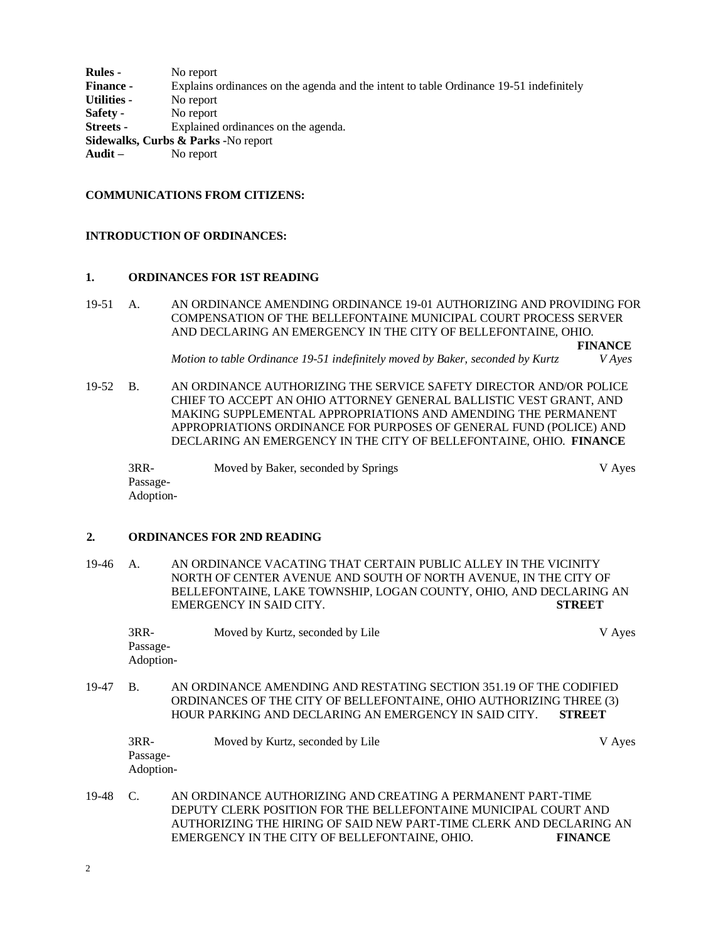**Rules -** No report **Finance -** Explains ordinances on the agenda and the intent to table Ordinance 19-51 indefinitely **Utilities -** No report **Safety -** No report **Streets -** Explained ordinances on the agenda. **Sidewalks, Curbs & Parks -**No report **Audit –** No report

### **COMMUNICATIONS FROM CITIZENS:**

#### **INTRODUCTION OF ORDINANCES:**

#### **1. ORDINANCES FOR 1ST READING**

19-51 A. AN ORDINANCE AMENDING ORDINANCE 19-01 AUTHORIZING AND PROVIDING FOR COMPENSATION OF THE BELLEFONTAINE MUNICIPAL COURT PROCESS SERVER AND DECLARING AN EMERGENCY IN THE CITY OF BELLEFONTAINE, OHIO. **FINANCE**

*Motion to table Ordinance 19-51 indefinitely moved by Baker, seconded by Kurtz V Ayes*

19-52 B. AN ORDINANCE AUTHORIZING THE SERVICE SAFETY DIRECTOR AND/OR POLICE CHIEF TO ACCEPT AN OHIO ATTORNEY GENERAL BALLISTIC VEST GRANT, AND MAKING SUPPLEMENTAL APPROPRIATIONS AND AMENDING THE PERMANENT APPROPRIATIONS ORDINANCE FOR PURPOSES OF GENERAL FUND (POLICE) AND DECLARING AN EMERGENCY IN THE CITY OF BELLEFONTAINE, OHIO. **FINANCE**

3RR- Moved by Baker, seconded by Springs V Ayes Passage-Adoption-

### **2. ORDINANCES FOR 2ND READING**

19-46 A. AN ORDINANCE VACATING THAT CERTAIN PUBLIC ALLEY IN THE VICINITY NORTH OF CENTER AVENUE AND SOUTH OF NORTH AVENUE, IN THE CITY OF BELLEFONTAINE, LAKE TOWNSHIP, LOGAN COUNTY, OHIO, AND DECLARING AN EMERGENCY IN SAID CITY. **STREET**

| 3RR-      | Moved by Kurtz, seconded by Lile | V Ayes |
|-----------|----------------------------------|--------|
| Passage-  |                                  |        |
| Adoption- |                                  |        |

19-47 B. AN ORDINANCE AMENDING AND RESTATING SECTION 351.19 OF THE CODIFIED ORDINANCES OF THE CITY OF BELLEFONTAINE, OHIO AUTHORIZING THREE (3) HOUR PARKING AND DECLARING AN EMERGENCY IN SAID CITY. **STREET**

| $3RR-$    | Moved by Kurtz, seconded by Lile | V Ayes |
|-----------|----------------------------------|--------|
| Passage-  |                                  |        |
| Adoption- |                                  |        |

19-48 C. AN ORDINANCE AUTHORIZING AND CREATING A PERMANENT PART-TIME DEPUTY CLERK POSITION FOR THE BELLEFONTAINE MUNICIPAL COURT AND AUTHORIZING THE HIRING OF SAID NEW PART-TIME CLERK AND DECLARING AN EMERGENCY IN THE CITY OF BELLEFONTAINE, OHIO. **FINANCE**